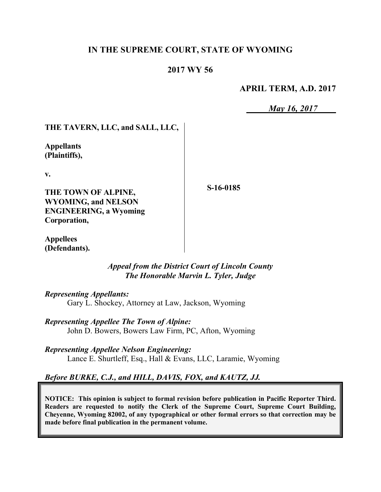## **IN THE SUPREME COURT, STATE OF WYOMING**

### **2017 WY 56**

### **APRIL TERM, A.D. 2017**

*May 16, 2017*

## **THE TAVERN, LLC, and SALL, LLC,**

**Appellants (Plaintiffs),**

**v.**

**THE TOWN OF ALPINE, WYOMING, and NELSON ENGINEERING, a Wyoming Corporation,**

**S-16-0185**

**Appellees (Defendants).**

> *Appeal from the District Court of Lincoln County The Honorable Marvin L. Tyler, Judge*

#### *Representing Appellants:*

Gary L. Shockey, Attorney at Law, Jackson, Wyoming

*Representing Appellee The Town of Alpine:* John D. Bowers, Bowers Law Firm, PC, Afton, Wyoming

*Representing Appellee Nelson Engineering:* Lance E. Shurtleff, Esq., Hall & Evans, LLC, Laramie, Wyoming

### *Before BURKE, C.J., and HILL, DAVIS, FOX, and KAUTZ, JJ.*

**NOTICE: This opinion is subject to formal revision before publication in Pacific Reporter Third. Readers are requested to notify the Clerk of the Supreme Court, Supreme Court Building, Cheyenne, Wyoming 82002, of any typographical or other formal errors so that correction may be made before final publication in the permanent volume.**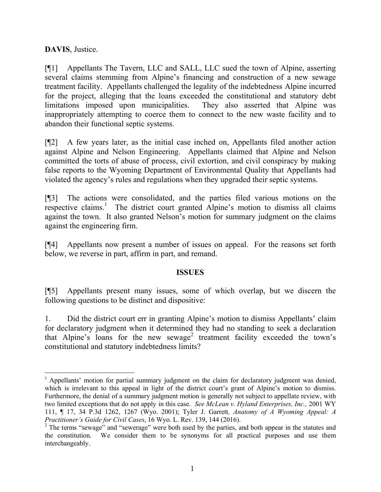**DAVIS**, Justice.

[¶1] Appellants The Tavern, LLC and SALL, LLC sued the town of Alpine, asserting several claims stemming from Alpine's financing and construction of a new sewage treatment facility. Appellants challenged the legality of the indebtedness Alpine incurred for the project, alleging that the loans exceeded the constitutional and statutory debt limitations imposed upon municipalities. They also asserted that Alpine was inappropriately attempting to coerce them to connect to the new waste facility and to abandon their functional septic systems.

[¶2] A few years later, as the initial case inched on, Appellants filed another action against Alpine and Nelson Engineering. Appellants claimed that Alpine and Nelson committed the torts of abuse of process, civil extortion, and civil conspiracy by making false reports to the Wyoming Department of Environmental Quality that Appellants had violated the agency's rules and regulations when they upgraded their septic systems.

[¶3] The actions were consolidated, and the parties filed various motions on the respective claims.<sup>1</sup> The district court granted Alpine's motion to dismiss all claims against the town. It also granted Nelson's motion for summary judgment on the claims against the engineering firm.

[¶4] Appellants now present a number of issues on appeal. For the reasons set forth below, we reverse in part, affirm in part, and remand.

#### **ISSUES**

[¶5] Appellants present many issues, some of which overlap, but we discern the following questions to be distinct and dispositive:

1. Did the district court err in granting Alpine's motion to dismiss Appellants' claim for declaratory judgment when it determined they had no standing to seek a declaration that Alpine's loans for the new sewage<sup>2</sup> treatment facility exceeded the town's constitutional and statutory indebtedness limits?

 $\overline{a}$  $1$  Appellants' motion for partial summary judgment on the claim for declaratory judgment was denied, which is irrelevant to this appeal in light of the district court's grant of Alpine's motion to dismiss. Furthermore, the denial of a summary judgment motion is generally not subject to appellate review, with two limited exceptions that do not apply in this case. *See McLean v. Hyland Enterprises, Inc.,* 2001 WY 111, ¶ 17, 34 P.3d 1262, 1267 (Wyo. 2001); Tyler J. Garrett*, Anatomy of A Wyoming Appeal: A Practitioner's Guide for Civil Cases*, 16 Wyo. L. Rev. 139, 144 (2016).

<sup>&</sup>lt;sup>2</sup> The terms "sewage" and "sewerage" were both used by the parties, and both appear in the statutes and the constitution. We consider them to be synonyms for all practical purposes and use them interchangeably.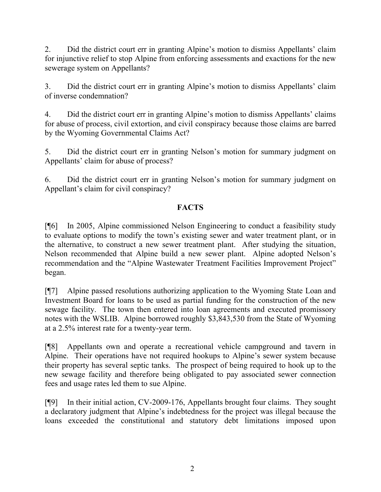2. Did the district court err in granting Alpine's motion to dismiss Appellants' claim for injunctive relief to stop Alpine from enforcing assessments and exactions for the new sewerage system on Appellants?

3. Did the district court err in granting Alpine's motion to dismiss Appellants' claim of inverse condemnation?

4. Did the district court err in granting Alpine's motion to dismiss Appellants' claims for abuse of process, civil extortion, and civil conspiracy because those claims are barred by the Wyoming Governmental Claims Act?

5. Did the district court err in granting Nelson's motion for summary judgment on Appellants' claim for abuse of process?

6. Did the district court err in granting Nelson's motion for summary judgment on Appellant's claim for civil conspiracy?

# **FACTS**

[¶6] In 2005, Alpine commissioned Nelson Engineering to conduct a feasibility study to evaluate options to modify the town's existing sewer and water treatment plant, or in the alternative, to construct a new sewer treatment plant. After studying the situation, Nelson recommended that Alpine build a new sewer plant. Alpine adopted Nelson's recommendation and the "Alpine Wastewater Treatment Facilities Improvement Project" began.

[¶7] Alpine passed resolutions authorizing application to the Wyoming State Loan and Investment Board for loans to be used as partial funding for the construction of the new sewage facility. The town then entered into loan agreements and executed promissory notes with the WSLIB. Alpine borrowed roughly \$3,843,530 from the State of Wyoming at a 2.5% interest rate for a twenty-year term.

[¶8] Appellants own and operate a recreational vehicle campground and tavern in Alpine. Their operations have not required hookups to Alpine's sewer system because their property has several septic tanks. The prospect of being required to hook up to the new sewage facility and therefore being obligated to pay associated sewer connection fees and usage rates led them to sue Alpine.

[¶9] In their initial action, CV-2009-176, Appellants brought four claims. They sought a declaratory judgment that Alpine's indebtedness for the project was illegal because the loans exceeded the constitutional and statutory debt limitations imposed upon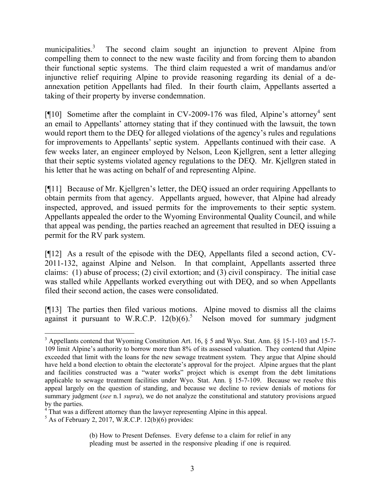municipalities.<sup>3</sup> The second claim sought an injunction to prevent Alpine from compelling them to connect to the new waste facility and from forcing them to abandon their functional septic systems. The third claim requested a writ of mandamus and/or injunctive relief requiring Alpine to provide reasoning regarding its denial of a deannexation petition Appellants had filed. In their fourth claim, Appellants asserted a taking of their property by inverse condemnation.

[ $[10]$  Sometime after the complaint in CV-2009-176 was filed, Alpine's attorney<sup>4</sup> sent an email to Appellants' attorney stating that if they continued with the lawsuit, the town would report them to the DEQ for alleged violations of the agency's rules and regulations for improvements to Appellants' septic system. Appellants continued with their case. A few weeks later, an engineer employed by Nelson, Leon Kjellgren, sent a letter alleging that their septic systems violated agency regulations to the DEQ. Mr. Kjellgren stated in his letter that he was acting on behalf of and representing Alpine.

[¶11] Because of Mr. Kjellgren's letter, the DEQ issued an order requiring Appellants to obtain permits from that agency. Appellants argued, however, that Alpine had already inspected, approved, and issued permits for the improvements to their septic system. Appellants appealed the order to the Wyoming Environmental Quality Council, and while that appeal was pending, the parties reached an agreement that resulted in DEQ issuing a permit for the RV park system.

[¶12] As a result of the episode with the DEQ, Appellants filed a second action, CV-2011-132, against Alpine and Nelson. In that complaint, Appellants asserted three claims: (1) abuse of process; (2) civil extortion; and (3) civil conspiracy. The initial case was stalled while Appellants worked everything out with DEQ, and so when Appellants filed their second action, the cases were consolidated.

[¶13] The parties then filed various motions. Alpine moved to dismiss all the claims against it pursuant to W.R.C.P.  $12(b)(6)$ .<sup>5</sup> Nelson moved for summary judgment

 $\overline{a}$ <sup>3</sup> Appellants contend that Wyoming Constitution Art. 16, § 5 and Wyo. Stat. Ann. §§ 15-1-103 and 15-7- 109 limit Alpine's authority to borrow more than 8% of its assessed valuation. They contend that Alpine exceeded that limit with the loans for the new sewage treatment system. They argue that Alpine should have held a bond election to obtain the electorate's approval for the project. Alpine argues that the plant and facilities constructed was a "water works" project which is exempt from the debt limitations applicable to sewage treatment facilities under  $W_{VQ}$ . Stat. Ann. § 15-7-109. Because we resolve this appeal largely on the question of standing, and because we decline to review denials of motions for summary judgment (*see* n.1 *supra*), we do not analyze the constitutional and statutory provisions argued by the parties.

<sup>&</sup>lt;sup>4</sup> That was a different attorney than the lawyer representing Alpine in this appeal.

 $<sup>5</sup>$  As of February 2, 2017, W.R.C.P. 12(b)(6) provides:</sup>

<sup>(</sup>b) How to Present Defenses. Every defense to a claim for relief in any pleading must be asserted in the responsive pleading if one is required.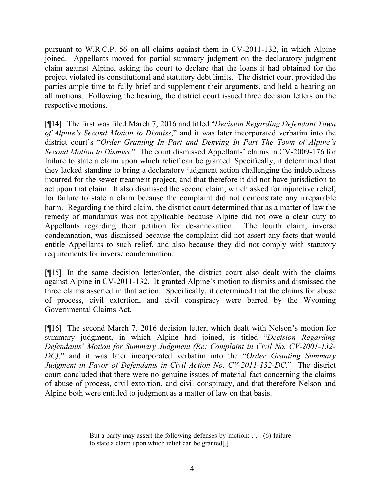pursuant to W.R.C.P. 56 on all claims against them in CV-2011-132, in which Alpine joined. Appellants moved for partial summary judgment on the declaratory judgment claim against Alpine, asking the court to declare that the loans it had obtained for the project violated its constitutional and statutory debt limits. The district court provided the parties ample time to fully brief and supplement their arguments, and held a hearing on all motions. Following the hearing, the district court issued three decision letters on the respective motions.

[¶14] The first was filed March 7, 2016 and titled "*Decision Regarding Defendant Town of Alpine's Second Motion to Dismiss*," and it was later incorporated verbatim into the district court's "*Order Granting In Part and Denying In Part The Town of Alpine's Second Motion to Dismiss*." The court dismissed Appellants' claims in CV-2009-176 for failure to state a claim upon which relief can be granted. Specifically, it determined that they lacked standing to bring a declaratory judgment action challenging the indebtedness incurred for the sewer treatment project, and that therefore it did not have jurisdiction to act upon that claim. It also dismissed the second claim, which asked for injunctive relief, for failure to state a claim because the complaint did not demonstrate any irreparable harm. Regarding the third claim, the district court determined that as a matter of law the remedy of mandamus was not applicable because Alpine did not owe a clear duty to Appellants regarding their petition for de-annexation. The fourth claim, inverse condemnation, was dismissed because the complaint did not assert any facts that would entitle Appellants to such relief, and also because they did not comply with statutory requirements for inverse condemnation.

[¶15] In the same decision letter/order, the district court also dealt with the claims against Alpine in CV-2011-132. It granted Alpine's motion to dismiss and dismissed the three claims asserted in that action. Specifically, it determined that the claims for abuse of process, civil extortion, and civil conspiracy were barred by the Wyoming Governmental Claims Act.

[¶16] The second March 7, 2016 decision letter, which dealt with Nelson's motion for summary judgment, in which Alpine had joined, is titled "*Decision Regarding Defendants' Motion for Summary Judgment (Re: Complaint in Civil No. CV-2001-132- DC),*" and it was later incorporated verbatim into the "*Order Granting Summary Judgment in Favor of Defendants in Civil Action No. CV-2011-132-DC.*" The district court concluded that there were no genuine issues of material fact concerning the claims of abuse of process, civil extortion, and civil conspiracy, and that therefore Nelson and Alpine both were entitled to judgment as a matter of law on that basis.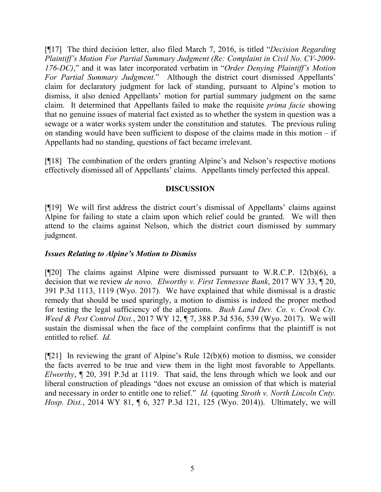[¶17] The third decision letter, also filed March 7, 2016, is titled "*Decision Regarding Plaintiff's Motion For Partial Summary Judgment (Re: Complaint in Civil No. CV-2009- 176-DC)*," and it was later incorporated verbatim in "*Order Denying Plaintiff's Motion For Partial Summary Judgment.*" Although the district court dismissed Appellants' claim for declaratory judgment for lack of standing, pursuant to Alpine's motion to dismiss, it also denied Appellants' motion for partial summary judgment on the same claim. It determined that Appellants failed to make the requisite *prima facie* showing that no genuine issues of material fact existed as to whether the system in question was a sewage or a water works system under the constitution and statutes. The previous ruling on standing would have been sufficient to dispose of the claims made in this motion – if Appellants had no standing, questions of fact became irrelevant.

[¶18] The combination of the orders granting Alpine's and Nelson's respective motions effectively dismissed all of Appellants' claims. Appellants timely perfected this appeal.

#### **DISCUSSION**

[¶19] We will first address the district court's dismissal of Appellants' claims against Alpine for failing to state a claim upon which relief could be granted. We will then attend to the claims against Nelson, which the district court dismissed by summary judgment.

#### *Issues Relating to Alpine's Motion to Dismiss*

[¶20] The claims against Alpine were dismissed pursuant to W.R.C.P. 12(b)(6), a decision that we review *de novo*. *Elworthy v. First Tennessee Bank*, 2017 WY 33, ¶ 20, 391 P.3d 1113, 1119 (Wyo. 2017). We have explained that while dismissal is a drastic remedy that should be used sparingly, a motion to dismiss is indeed the proper method for testing the legal sufficiency of the allegations. *Bush Land Dev. Co. v. Crook Cty. Weed & Pest Control Dist.*, 2017 WY 12, ¶ 7, 388 P.3d 536, 539 (Wyo. 2017). We will sustain the dismissal when the face of the complaint confirms that the plaintiff is not entitled to relief. *Id.*

[¶21] In reviewing the grant of Alpine's Rule 12(b)(6) motion to dismiss, we consider the facts averred to be true and view them in the light most favorable to Appellants*. Elworthy*, ¶ 20, 391 P.3d at 1119. That said, the lens through which we look and our liberal construction of pleadings "does not excuse an omission of that which is material and necessary in order to entitle one to relief." *Id.* (quoting *Stroth v. North Lincoln Cnty. Hosp. Dist.*, 2014 WY 81, ¶ 6, 327 P.3d 121, 125 (Wyo. 2014)). Ultimately, we will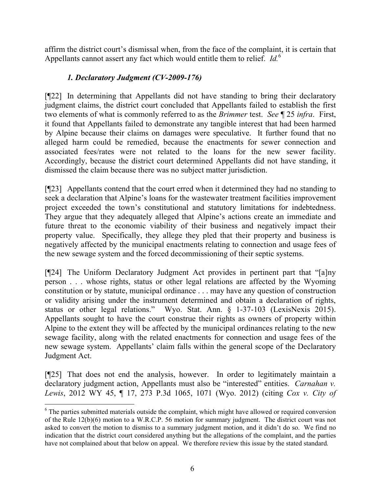affirm the district court's dismissal when, from the face of the complaint, it is certain that Appellants cannot assert any fact which would entitle them to relief. *Id.*<sup>6</sup>

# *1. Declaratory Judgment (CV-2009-176)*

[¶22] In determining that Appellants did not have standing to bring their declaratory judgment claims, the district court concluded that Appellants failed to establish the first two elements of what is commonly referred to as the *Brimmer* test. *See* ¶ 25 *infra*. First, it found that Appellants failed to demonstrate any tangible interest that had been harmed by Alpine because their claims on damages were speculative. It further found that no alleged harm could be remedied, because the enactments for sewer connection and associated fees/rates were not related to the loans for the new sewer facility. Accordingly, because the district court determined Appellants did not have standing, it dismissed the claim because there was no subject matter jurisdiction.

[¶23] Appellants contend that the court erred when it determined they had no standing to seek a declaration that Alpine's loans for the wastewater treatment facilities improvement project exceeded the town's constitutional and statutory limitations for indebtedness. They argue that they adequately alleged that Alpine's actions create an immediate and future threat to the economic viability of their business and negatively impact their property value. Specifically, they allege they pled that their property and business is negatively affected by the municipal enactments relating to connection and usage fees of the new sewage system and the forced decommissioning of their septic systems.

[¶24] The Uniform Declaratory Judgment Act provides in pertinent part that "[a]ny person . . . whose rights, status or other legal relations are affected by the Wyoming constitution or by statute, municipal ordinance . . . may have any question of construction or validity arising under the instrument determined and obtain a declaration of rights, status or other legal relations." Wyo. Stat. Ann. § 1-37-103 (LexisNexis 2015). Appellants sought to have the court construe their rights as owners of property within Alpine to the extent they will be affected by the municipal ordinances relating to the new sewage facility, along with the related enactments for connection and usage fees of the new sewage system. Appellants' claim falls within the general scope of the Declaratory Judgment Act.

[¶25] That does not end the analysis, however. In order to legitimately maintain a declaratory judgment action, Appellants must also be "interested" entities. *Carnahan v. Lewis*, 2012 WY 45, ¶ 17, 273 P.3d 1065, 1071 (Wyo. 2012) (citing *Cox v. City of* 

 $\overline{a}$ 

<sup>&</sup>lt;sup>6</sup> The parties submitted materials outside the complaint, which might have allowed or required conversion of the Rule 12(b)(6) motion to a W.R.C.P. 56 motion for summary judgment. The district court was not asked to convert the motion to dismiss to a summary judgment motion, and it didn't do so. We find no indication that the district court considered anything but the allegations of the complaint, and the parties have not complained about that below on appeal. We therefore review this issue by the stated standard.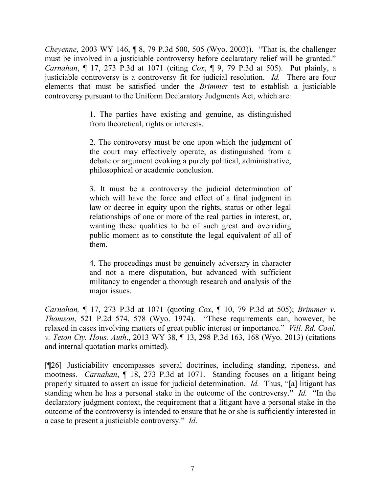*Cheyenne*, 2003 WY 146, ¶ 8, 79 P.3d 500, 505 (Wyo. 2003)). "That is, the challenger must be involved in a justiciable controversy before declaratory relief will be granted." *Carnahan*, ¶ 17, 273 P.3d at 1071 (citing *Cox*, ¶ 9, 79 P.3d at 505). Put plainly, a justiciable controversy is a controversy fit for judicial resolution. *Id.* There are four elements that must be satisfied under the *Brimmer* test to establish a justiciable controversy pursuant to the Uniform Declaratory Judgments Act, which are:

> 1. The parties have existing and genuine, as distinguished from theoretical, rights or interests.

> 2. The controversy must be one upon which the judgment of the court may effectively operate, as distinguished from a debate or argument evoking a purely political, administrative, philosophical or academic conclusion.

> 3. It must be a controversy the judicial determination of which will have the force and effect of a final judgment in law or decree in equity upon the rights, status or other legal relationships of one or more of the real parties in interest, or, wanting these qualities to be of such great and overriding public moment as to constitute the legal equivalent of all of them.

> 4. The proceedings must be genuinely adversary in character and not a mere disputation, but advanced with sufficient militancy to engender a thorough research and analysis of the major issues.

*Carnahan,* ¶ 17, 273 P.3d at 1071 (quoting *Cox*, ¶ 10, 79 P.3d at 505); *Brimmer v. Thomson*, 521 P.2d 574, 578 (Wyo. 1974). "These requirements can, however, be relaxed in cases involving matters of great public interest or importance." *Vill. Rd. Coal. v. Teton Cty. Hous. Auth*., 2013 WY 38, ¶ 13, 298 P.3d 163, 168 (Wyo. 2013) (citations and internal quotation marks omitted).

[¶26] Justiciability encompasses several doctrines, including standing, ripeness, and mootness. *Carnahan*, ¶ 18, 273 P.3d at 1071. Standing focuses on a litigant being properly situated to assert an issue for judicial determination. *Id.* Thus, "[a] litigant has standing when he has a personal stake in the outcome of the controversy." *Id.* "In the declaratory judgment context, the requirement that a litigant have a personal stake in the outcome of the controversy is intended to ensure that he or she is sufficiently interested in a case to present a justiciable controversy." *Id*.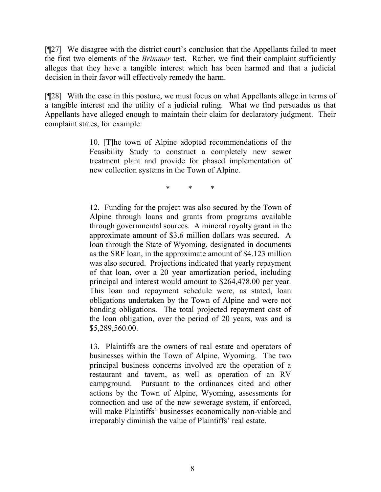[¶27] We disagree with the district court's conclusion that the Appellants failed to meet the first two elements of the *Brimmer* test. Rather, we find their complaint sufficiently alleges that they have a tangible interest which has been harmed and that a judicial decision in their favor will effectively remedy the harm.

[¶28] With the case in this posture, we must focus on what Appellants allege in terms of a tangible interest and the utility of a judicial ruling. What we find persuades us that Appellants have alleged enough to maintain their claim for declaratory judgment. Their complaint states, for example:

> 10. [T]he town of Alpine adopted recommendations of the Feasibility Study to construct a completely new sewer treatment plant and provide for phased implementation of new collection systems in the Town of Alpine.

> > \* \* \*

12. Funding for the project was also secured by the Town of Alpine through loans and grants from programs available through governmental sources. A mineral royalty grant in the approximate amount of \$3.6 million dollars was secured. A loan through the State of Wyoming, designated in documents as the SRF loan, in the approximate amount of \$4.123 million was also secured. Projections indicated that yearly repayment of that loan, over a 20 year amortization period, including principal and interest would amount to \$264,478.00 per year. This loan and repayment schedule were, as stated, loan obligations undertaken by the Town of Alpine and were not bonding obligations. The total projected repayment cost of the loan obligation, over the period of 20 years, was and is \$5,289,560.00.

13. Plaintiffs are the owners of real estate and operators of businesses within the Town of Alpine, Wyoming. The two principal business concerns involved are the operation of a restaurant and tavern, as well as operation of an RV campground. Pursuant to the ordinances cited and other actions by the Town of Alpine, Wyoming, assessments for connection and use of the new sewerage system, if enforced, will make Plaintiffs' businesses economically non-viable and irreparably diminish the value of Plaintiffs' real estate.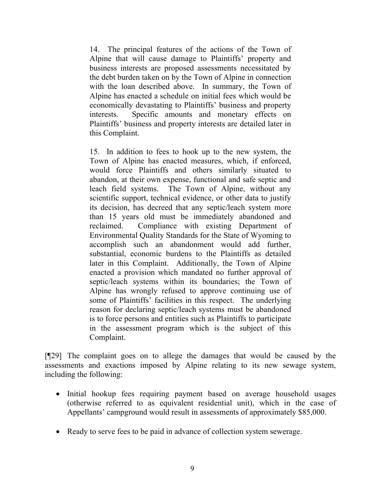14. The principal features of the actions of the Town of Alpine that will cause damage to Plaintiffs' property and business interests are proposed assessments necessitated by the debt burden taken on by the Town of Alpine in connection with the loan described above. In summary, the Town of Alpine has enacted a schedule on initial fees which would be economically devastating to Plaintiffs' business and property interests. Specific amounts and monetary effects on Plaintiffs' business and property interests are detailed later in this Complaint.

15. In addition to fees to hook up to the new system, the Town of Alpine has enacted measures, which, if enforced, would force Plaintiffs and others similarly situated to abandon, at their own expense, functional and safe septic and leach field systems. The Town of Alpine, without any scientific support, technical evidence, or other data to justify its decision, has decreed that any septic/leach system more than 15 years old must be immediately abandoned and reclaimed. Compliance with existing Department of Environmental Quality Standards for the State of Wyoming to accomplish such an abandonment would add further, substantial, economic burdens to the Plaintiffs as detailed later in this Complaint. Additionally, the Town of Alpine enacted a provision which mandated no further approval of septic/leach systems within its boundaries; the Town of Alpine has wrongly refused to approve continuing use of some of Plaintiffs' facilities in this respect. The underlying reason for declaring septic/leach systems must be abandoned is to force persons and entities such as Plaintiffs to participate in the assessment program which is the subject of this Complaint.

[¶29] The complaint goes on to allege the damages that would be caused by the assessments and exactions imposed by Alpine relating to its new sewage system, including the following:

- Initial hookup fees requiring payment based on average household usages (otherwise referred to as equivalent residential unit), which in the case of Appellants' campground would result in assessments of approximately \$85,000.
- Ready to serve fees to be paid in advance of collection system sewerage.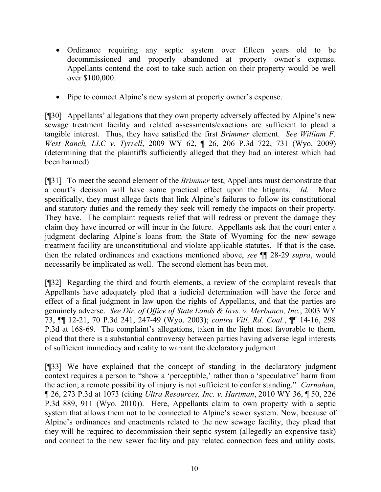- Ordinance requiring any septic system over fifteen years old to be decommissioned and properly abandoned at property owner's expense. Appellants contend the cost to take such action on their property would be well over \$100,000.
- Pipe to connect Alpine's new system at property owner's expense.

[¶30] Appellants' allegations that they own property adversely affected by Alpine's new sewage treatment facility and related assessments/exactions are sufficient to plead a tangible interest. Thus, they have satisfied the first *Brimmer* element. *See William F. West Ranch, LLC v. Tyrrell*, 2009 WY 62, ¶ 26, 206 P.3d 722, 731 (Wyo. 2009) (determining that the plaintiffs sufficiently alleged that they had an interest which had been harmed).

[¶31] To meet the second element of the *Brimmer* test, Appellants must demonstrate that a court's decision will have some practical effect upon the litigants. *Id.* More specifically, they must allege facts that link Alpine's failures to follow its constitutional and statutory duties and the remedy they seek will remedy the impacts on their property. They have. The complaint requests relief that will redress or prevent the damage they claim they have incurred or will incur in the future. Appellants ask that the court enter a judgment declaring Alpine's loans from the State of Wyoming for the new sewage treatment facility are unconstitutional and violate applicable statutes. If that is the case, then the related ordinances and exactions mentioned above, *see* ¶¶ 28-29 *supra*, would necessarily be implicated as well. The second element has been met.

[¶32] Regarding the third and fourth elements, a review of the complaint reveals that Appellants have adequately pled that a judicial determination will have the force and effect of a final judgment in law upon the rights of Appellants, and that the parties are genuinely adverse. *See Dir. of Office of State Lands & Invs. v. Merbanco, Inc.*, 2003 WY 73, ¶¶ 12-21, 70 P.3d 241, 247-49 (Wyo. 2003); *contra Vill. Rd. Coal.*, ¶¶ 14-16, 298 P.3d at 168-69. The complaint's allegations, taken in the light most favorable to them, plead that there is a substantial controversy between parties having adverse legal interests of sufficient immediacy and reality to warrant the declaratory judgment.

[¶33] We have explained that the concept of standing in the declaratory judgment context requires a person to "show a 'perceptible,' rather than a 'speculative' harm from the action; a remote possibility of injury is not sufficient to confer standing." *Carnahan*, ¶ 26, 273 P.3d at 1073 (citing *Ultra Resources, Inc. v. Hartman*, 2010 WY 36, ¶ 50, 226 P.3d 889, 911 (Wyo. 2010)). Here, Appellants claim to own property with a septic system that allows them not to be connected to Alpine's sewer system. Now, because of Alpine's ordinances and enactments related to the new sewage facility, they plead that they will be required to decommission their septic system (allegedly an expensive task) and connect to the new sewer facility and pay related connection fees and utility costs.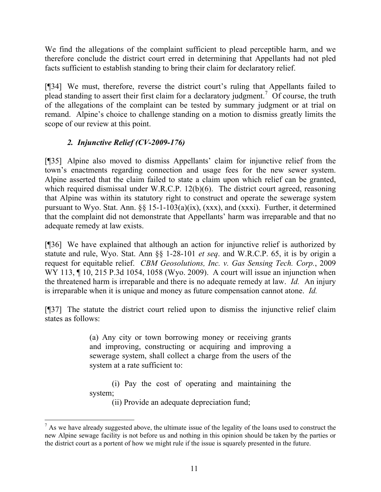We find the allegations of the complaint sufficient to plead perceptible harm, and we therefore conclude the district court erred in determining that Appellants had not pled facts sufficient to establish standing to bring their claim for declaratory relief.

[¶34] We must, therefore, reverse the district court's ruling that Appellants failed to plead standing to assert their first claim for a declaratory judgment.<sup>7</sup> Of course, the truth of the allegations of the complaint can be tested by summary judgment or at trial on remand. Alpine's choice to challenge standing on a motion to dismiss greatly limits the scope of our review at this point.

# *2. Injunctive Relief (CV-2009-176)*

l

[¶35] Alpine also moved to dismiss Appellants' claim for injunctive relief from the town's enactments regarding connection and usage fees for the new sewer system. Alpine asserted that the claim failed to state a claim upon which relief can be granted, which required dismissal under W.R.C.P. 12(b)(6). The district court agreed, reasoning that Alpine was within its statutory right to construct and operate the sewerage system pursuant to Wyo. Stat. Ann. §§ 15-1-103(a)(ix), (xxx), and (xxxi). Further, it determined that the complaint did not demonstrate that Appellants' harm was irreparable and that no adequate remedy at law exists.

[¶36] We have explained that although an action for injunctive relief is authorized by statute and rule, Wyo. Stat. Ann §§ 1-28-101 *et seq*. and W.R.C.P. 65, it is by origin a request for equitable relief. *CBM Geosolutions, Inc. v. Gas Sensing Tech. Corp.*, 2009 WY 113, ¶ 10, 215 P.3d 1054, 1058 (Wyo. 2009). A court will issue an injunction when the threatened harm is irreparable and there is no adequate remedy at law. *Id.* An injury is irreparable when it is unique and money as future compensation cannot atone. *Id.*

[¶37] The statute the district court relied upon to dismiss the injunctive relief claim states as follows:

> (a) Any city or town borrowing money or receiving grants and improving, constructing or acquiring and improving a sewerage system, shall collect a charge from the users of the system at a rate sufficient to:

> (i) Pay the cost of operating and maintaining the system;

(ii) Provide an adequate depreciation fund;

 $<sup>7</sup>$  As we have already suggested above, the ultimate issue of the legality of the loans used to construct the</sup> new Alpine sewage facility is not before us and nothing in this opinion should be taken by the parties or the district court as a portent of how we might rule if the issue is squarely presented in the future.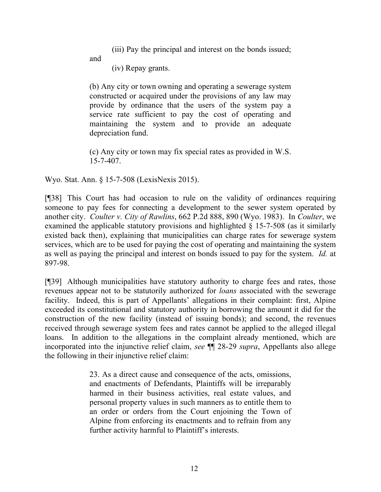(iii) Pay the principal and interest on the bonds issued;

and

(iv) Repay grants.

(b) Any city or town owning and operating a sewerage system constructed or acquired under the provisions of any law may provide by ordinance that the users of the system pay a service rate sufficient to pay the cost of operating and maintaining the system and to provide an adequate depreciation fund.

(c) Any city or town may fix special rates as provided in W.S. 15-7-407.

Wyo. Stat. Ann. § 15-7-508 (LexisNexis 2015).

[¶38] This Court has had occasion to rule on the validity of ordinances requiring someone to pay fees for connecting a development to the sewer system operated by another city. *Coulter v. City of Rawlins*, 662 P.2d 888, 890 (Wyo. 1983). In *Coulter*, we examined the applicable statutory provisions and highlighted § 15-7-508 (as it similarly existed back then), explaining that municipalities can charge rates for sewerage system services, which are to be used for paying the cost of operating and maintaining the system as well as paying the principal and interest on bonds issued to pay for the system. *Id.* at 897-98.

[¶39] Although municipalities have statutory authority to charge fees and rates, those revenues appear not to be statutorily authorized for *loans* associated with the sewerage facility. Indeed, this is part of Appellants' allegations in their complaint: first, Alpine exceeded its constitutional and statutory authority in borrowing the amount it did for the construction of the new facility (instead of issuing bonds); and second, the revenues received through sewerage system fees and rates cannot be applied to the alleged illegal loans. In addition to the allegations in the complaint already mentioned, which are incorporated into the injunctive relief claim, *see* ¶¶ 28-29 *supra*, Appellants also allege the following in their injunctive relief claim:

> 23. As a direct cause and consequence of the acts, omissions, and enactments of Defendants, Plaintiffs will be irreparably harmed in their business activities, real estate values, and personal property values in such manners as to entitle them to an order or orders from the Court enjoining the Town of Alpine from enforcing its enactments and to refrain from any further activity harmful to Plaintiff's interests.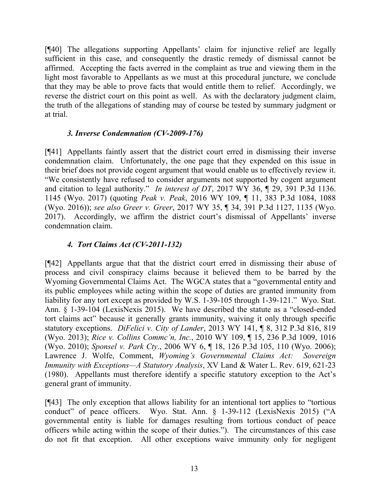[¶40] The allegations supporting Appellants' claim for injunctive relief are legally sufficient in this case, and consequently the drastic remedy of dismissal cannot be affirmed. Accepting the facts averred in the complaint as true and viewing them in the light most favorable to Appellants as we must at this procedural juncture, we conclude that they may be able to prove facts that would entitle them to relief. Accordingly, we reverse the district court on this point as well. As with the declaratory judgment claim, the truth of the allegations of standing may of course be tested by summary judgment or at trial.

## *3. Inverse Condemnation (CV-2009-176)*

[¶41] Appellants faintly assert that the district court erred in dismissing their inverse condemnation claim. Unfortunately, the one page that they expended on this issue in their brief does not provide cogent argument that would enable us to effectively review it. "We consistently have refused to consider arguments not supported by cogent argument and citation to legal authority." *In interest of DT*, 2017 WY 36, ¶ 29, 391 P.3d 1136. 1145 (Wyo. 2017) (quoting *Peak v. Peak*, 2016 WY 109, ¶ 11, 383 P.3d 1084, 1088 (Wyo. 2016)); *see also Greer v. Greer*, 2017 WY 35, ¶ 34, 391 P.3d 1127, 1135 (Wyo. 2017). Accordingly, we affirm the district court's dismissal of Appellants' inverse condemnation claim.

## *4. Tort Claims Act (CV-2011-132)*

[¶42] Appellants argue that that the district court erred in dismissing their abuse of process and civil conspiracy claims because it believed them to be barred by the Wyoming Governmental Claims Act. The WGCA states that a "governmental entity and its public employees while acting within the scope of duties are granted immunity from liability for any tort except as provided by W.S. 1-39-105 through 1-39-121." Wyo. Stat. Ann. § 1-39-104 (LexisNexis 2015). We have described the statute as a "closed-ended tort claims act" because it generally grants immunity, waiving it only through specific statutory exceptions. *DiFelici v. City of Lander*, 2013 WY 141, ¶ 8, 312 P.3d 816, 819 (Wyo. 2013); *Rice v. Collins Commc'n, Inc.*, 2010 WY 109, ¶ 15, 236 P.3d 1009, 1016 (Wyo. 2010); *Sponsel v. Park Cty*., 2006 WY 6, ¶ 18, 126 P.3d 105, 110 (Wyo. 2006); Lawrence J. Wolfe, Comment, *Wyoming's Governmental Claims Act: Sovereign Immunity with Exceptions—A Statutory Analysis*, XV Land & Water L. Rev. 619, 621-23 (1980). Appellants must therefore identify a specific statutory exception to the Act's general grant of immunity.

[¶43] The only exception that allows liability for an intentional tort applies to "tortious conduct" of peace officers. Wyo. Stat. Ann. § 1-39-112 (LexisNexis 2015) ("A governmental entity is liable for damages resulting from tortious conduct of peace officers while acting within the scope of their duties."). The circumstances of this case do not fit that exception. All other exceptions waive immunity only for negligent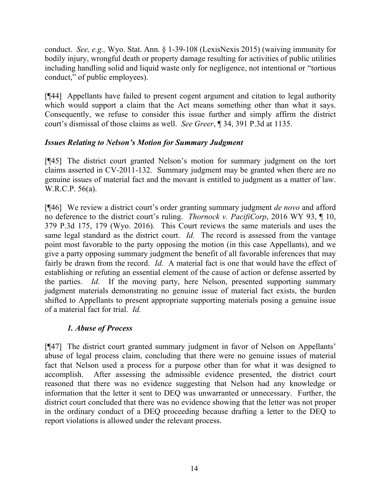conduct. *See, e.g.,* Wyo. Stat. Ann. § 1-39-108 (LexisNexis 2015) (waiving immunity for bodily injury, wrongful death or property damage resulting for activities of public utilities including handling solid and liquid waste only for negligence, not intentional or "tortious conduct," of public employees).

[¶44] Appellants have failed to present cogent argument and citation to legal authority which would support a claim that the Act means something other than what it says. Consequently, we refuse to consider this issue further and simply affirm the district court's dismissal of those claims as well. *See Greer*, ¶ 34, 391 P.3d at 1135.

# *Issues Relating to Nelson's Motion for Summary Judgment*

[¶45] The district court granted Nelson's motion for summary judgment on the tort claims asserted in CV-2011-132. Summary judgment may be granted when there are no genuine issues of material fact and the movant is entitled to judgment as a matter of law. W.R.C.P. 56(a).

[¶46] We review a district court's order granting summary judgment *de novo* and afford no deference to the district court's ruling. *Thornock v. PacifiCorp*, 2016 WY 93, ¶ 10, 379 P.3d 175, 179 (Wyo. 2016). This Court reviews the same materials and uses the same legal standard as the district court. *Id.* The record is assessed from the vantage point most favorable to the party opposing the motion (in this case Appellants), and we give a party opposing summary judgment the benefit of all favorable inferences that may fairly be drawn from the record. *Id.* A material fact is one that would have the effect of establishing or refuting an essential element of the cause of action or defense asserted by the parties. *Id*. If the moving party, here Nelson, presented supporting summary judgment materials demonstrating no genuine issue of material fact exists, the burden shifted to Appellants to present appropriate supporting materials posing a genuine issue of a material fact for trial. *Id.*

### *1. Abuse of Process*

[¶47] The district court granted summary judgment in favor of Nelson on Appellants' abuse of legal process claim, concluding that there were no genuine issues of material fact that Nelson used a process for a purpose other than for what it was designed to accomplish. After assessing the admissible evidence presented, the district court reasoned that there was no evidence suggesting that Nelson had any knowledge or information that the letter it sent to DEQ was unwarranted or unnecessary. Further, the district court concluded that there was no evidence showing that the letter was not proper in the ordinary conduct of a DEQ proceeding because drafting a letter to the DEQ to report violations is allowed under the relevant process.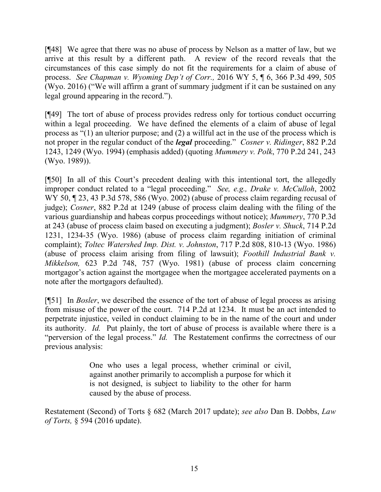[¶48] We agree that there was no abuse of process by Nelson as a matter of law, but we arrive at this result by a different path. A review of the record reveals that the circumstances of this case simply do not fit the requirements for a claim of abuse of process. *See Chapman v. Wyoming Dep't of Corr.,* 2016 WY 5, ¶ 6, 366 P.3d 499, 505 (Wyo. 2016) ("We will affirm a grant of summary judgment if it can be sustained on any legal ground appearing in the record.").

[¶49] The tort of abuse of process provides redress only for tortious conduct occurring within a legal proceeding. We have defined the elements of a claim of abuse of legal process as "(1) an ulterior purpose; and (2) a willful act in the use of the process which is not proper in the regular conduct of the *legal* proceeding." *Cosner v. Ridinger*, 882 P.2d 1243, 1249 (Wyo. 1994) (emphasis added) (quoting *Mummery v. Polk*, 770 P.2d 241, 243 (Wyo. 1989)).

[¶50] In all of this Court's precedent dealing with this intentional tort, the allegedly improper conduct related to a "legal proceeding." *See, e.g., Drake v. McCulloh*, 2002 WY 50, 123, 43 P.3d 578, 586 (Wyo. 2002) (abuse of process claim regarding recusal of judge); *Cosner*, 882 P.2d at 1249 (abuse of process claim dealing with the filing of the various guardianship and habeas corpus proceedings without notice); *Mummery*, 770 P.3d at 243 (abuse of process claim based on executing a judgment); *Bosler v. Shuck*, 714 P.2d 1231, 1234-35 (Wyo. 1986) (abuse of process claim regarding initiation of criminal complaint); *Toltec Watershed Imp. Dist. v. Johnston*, 717 P.2d 808, 810-13 (Wyo. 1986) (abuse of process claim arising from filing of lawsuit); *Foothill Industrial Bank v. Mikkelson,* 623 P.2d 748, 757 (Wyo. 1981) (abuse of process claim concerning mortgagor's action against the mortgagee when the mortgagee accelerated payments on a note after the mortgagors defaulted).

[¶51] In *Bosler*, we described the essence of the tort of abuse of legal process as arising from misuse of the power of the court. 714 P.2d at 1234. It must be an act intended to perpetrate injustice, veiled in conduct claiming to be in the name of the court and under its authority. *Id.* Put plainly, the tort of abuse of process is available where there is a "perversion of the legal process." *Id.* The Restatement confirms the correctness of our previous analysis:

> One who uses a legal process, whether criminal or civil, against another primarily to accomplish a purpose for which it is not designed, is subject to liability to the other for harm caused by the abuse of process.

Restatement (Second) of Torts § 682 (March 2017 update); *see also* Dan B. Dobbs, *Law of Torts,* § 594 (2016 update).